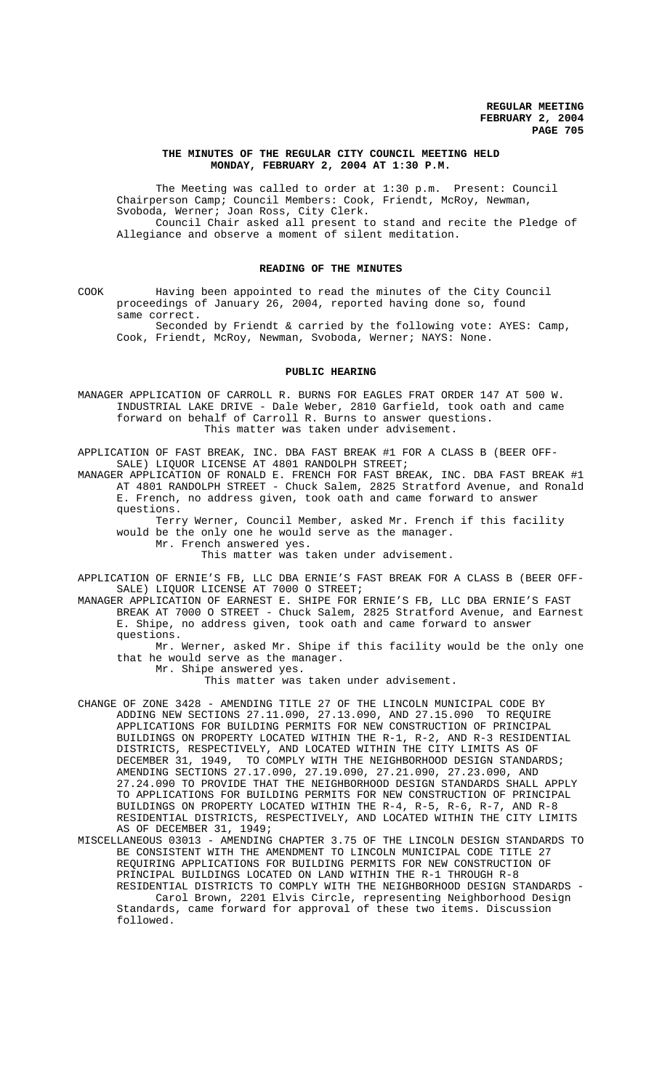## **THE MINUTES OF THE REGULAR CITY COUNCIL MEETING HELD MONDAY, FEBRUARY 2, 2004 AT 1:30 P.M.**

The Meeting was called to order at 1:30 p.m. Present: Council Chairperson Camp; Council Members: Cook, Friendt, McRoy, Newman, Svoboda, Werner; Joan Ross, City Clerk. Council Chair asked all present to stand and recite the Pledge of Allegiance and observe a moment of silent meditation.

#### **READING OF THE MINUTES**

COOK Having been appointed to read the minutes of the City Council proceedings of January 26, 2004, reported having done so, found same correct.

Seconded by Friendt & carried by the following vote: AYES: Camp, Cook, Friendt, McRoy, Newman, Svoboda, Werner; NAYS: None.

#### **PUBLIC HEARING**

MANAGER APPLICATION OF CARROLL R. BURNS FOR EAGLES FRAT ORDER 147 AT 500 W. INDUSTRIAL LAKE DRIVE - Dale Weber, 2810 Garfield, took oath and came forward on behalf of Carroll R. Burns to answer questions. This matter was taken under advisement.

APPLICATION OF FAST BREAK, INC. DBA FAST BREAK #1 FOR A CLASS B (BEER OFF-SALE) LIQUOR LICENSE AT 4801 RANDOLPH STREET;

MANAGER APPLICATION OF RONALD E. FRENCH FOR FAST BREAK, INC. DBA FAST BREAK #1 AT 4801 RANDOLPH STREET - Chuck Salem, 2825 Stratford Avenue, and Ronald E. French, no address given, took oath and came forward to answer questions.

Terry Werner, Council Member, asked Mr. French if this facility would be the only one he would serve as the manager.

Mr. French answered yes.

This matter was taken under advisement.

APPLICATION OF ERNIE'S FB, LLC DBA ERNIE'S FAST BREAK FOR A CLASS B (BEER OFF-SALE) LIQUOR LICENSE AT 7000 O STREET;

MANAGER APPLICATION OF EARNEST E. SHIPE FOR ERNIE'S FB, LLC DBA ERNIE'S FAST BREAK AT 7000 O STREET - Chuck Salem, 2825 Stratford Avenue, and Earnest E. Shipe, no address given, took oath and came forward to answer questions.

Mr. Werner, asked Mr. Shipe if this facility would be the only one that he would serve as the manager.

Mr. Shipe answered yes.

This matter was taken under advisement.

CHANGE OF ZONE 3428 - AMENDING TITLE 27 OF THE LINCOLN MUNICIPAL CODE BY ADDING NEW SECTIONS 27.11.090, 27.13.090, AND 27.15.090 TO REQUIRE APPLICATIONS FOR BUILDING PERMITS FOR NEW CONSTRUCTION OF PRINCIPAL BUILDINGS ON PROPERTY LOCATED WITHIN THE R-1, R-2, AND R-3 RESIDENTIAL DISTRICTS, RESPECTIVELY, AND LOCATED WITHIN THE CITY LIMITS AS OF DECEMBER 31, 1949, TO COMPLY WITH THE NEIGHBORHOOD DESIGN STANDARDS; AMENDING SECTIONS 27.17.090, 27.19.090, 27.21.090, 27.23.090, AND 27.24.090 TO PROVIDE THAT THE NEIGHBORHOOD DESIGN STANDARDS SHALL APPLY TO APPLICATIONS FOR BUILDING PERMITS FOR NEW CONSTRUCTION OF PRINCIPAL BUILDINGS ON PROPERTY LOCATED WITHIN THE R-4, R-5, R-6, R-7, AND R-8 RESIDENTIAL DISTRICTS, RESPECTIVELY, AND LOCATED WITHIN THE CITY LIMITS AS OF DECEMBER 31, 1949;

MISCELLANEOUS 03013 - AMENDING CHAPTER 3.75 OF THE LINCOLN DESIGN STANDARDS TO BE CONSISTENT WITH THE AMENDMENT TO LINCOLN MUNICIPAL CODE TITLE 27 REQUIRING APPLICATIONS FOR BUILDING PERMITS FOR NEW CONSTRUCTION OF PRINCIPAL BUILDINGS LOCATED ON LAND WITHIN THE R-1 THROUGH R-8 RESIDENTIAL DISTRICTS TO COMPLY WITH THE NEIGHBORHOOD DESIGN STANDARDS Carol Brown, 2201 Elvis Circle, representing Neighborhood Design Standards, came forward for approval of these two items. Discussion followed.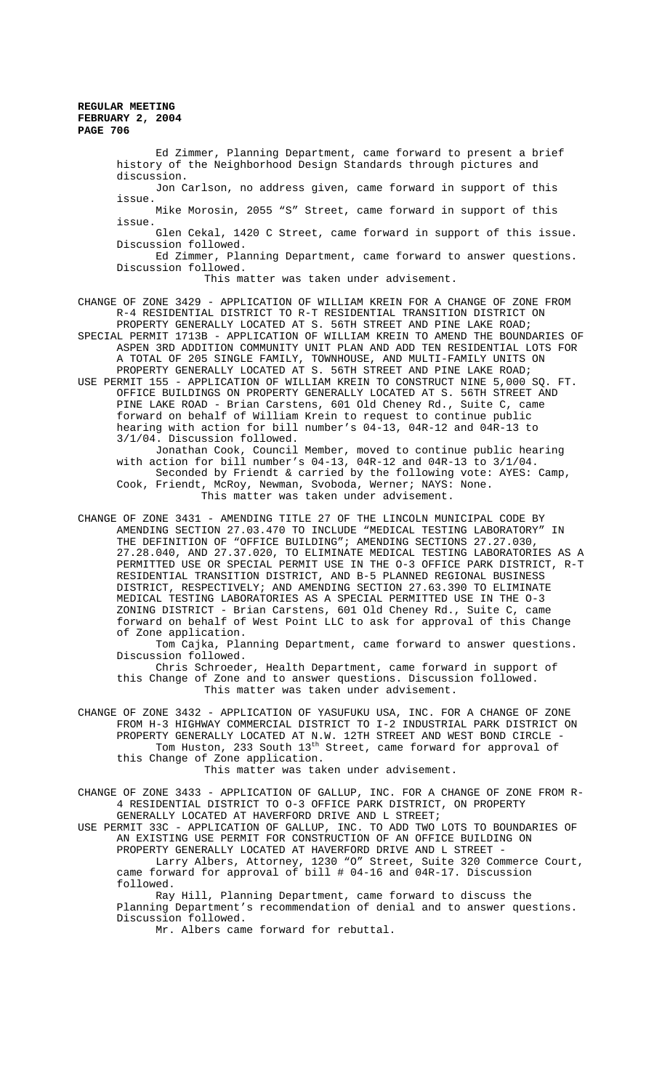Ed Zimmer, Planning Department, came forward to present a brief history of the Neighborhood Design Standards through pictures and discussion.

Jon Carlson, no address given, came forward in support of this issue.

Mike Morosin, 2055 "S" Street, came forward in support of this issue.

 Glen Cekal, 1420 C Street, came forward in support of this issue. Discussion followed.

Ed Zimmer, Planning Department, came forward to answer questions. Discussion followed.

This matter was taken under advisement.

CHANGE OF ZONE 3429 - APPLICATION OF WILLIAM KREIN FOR A CHANGE OF ZONE FROM R-4 RESIDENTIAL DISTRICT TO R-T RESIDENTIAL TRANSITION DISTRICT ON PROPERTY GENERALLY LOCATED AT S. 56TH STREET AND PINE LAKE ROAD;

SPECIAL PERMIT 1713B - APPLICATION OF WILLIAM KREIN TO AMEND THE BOUNDARIES OF ASPEN 3RD ADDITION COMMUNITY UNIT PLAN AND ADD TEN RESIDENTIAL LOTS FOR A TOTAL OF 205 SINGLE FAMILY, TOWNHOUSE, AND MULTI-FAMILY UNITS ON

PROPERTY GENERALLY LOCATED AT S. 56TH STREET AND PINE LAKE ROAD; USE PERMIT 155 - APPLICATION OF WILLIAM KREIN TO CONSTRUCT NINE 5,000 SQ. FT. OFFICE BUILDINGS ON PROPERTY GENERALLY LOCATED AT S. 56TH STREET AND PINE LAKE ROAD - Brian Carstens, 601 Old Cheney Rd., Suite C, came forward on behalf of William Krein to request to continue public hearing with action for bill number's 04-13, 04R-12 and 04R-13 to 3/1/04. Discussion followed.

Jonathan Cook, Council Member, moved to continue public hearing with action for bill number's 04-13, 04R-12 and 04R-13 to 3/1/04. Seconded by Friendt & carried by the following vote: AYES: Camp, Cook, Friendt, McRoy, Newman, Svoboda, Werner; NAYS: None. This matter was taken under advisement.

CHANGE OF ZONE 3431 - AMENDING TITLE 27 OF THE LINCOLN MUNICIPAL CODE BY AMENDING SECTION 27.03.470 TO INCLUDE "MEDICAL TESTING LABORATORY" IN THE DEFINITION OF "OFFICE BUILDING"; AMENDING SECTIONS 27.27.030, 27.28.040, AND 27.37.020, TO ELIMINATE MEDICAL TESTING LABORATORIES AS A PERMITTED USE OR SPECIAL PERMIT USE IN THE O-3 OFFICE PARK DISTRICT, R-T RESIDENTIAL TRANSITION DISTRICT, AND B-5 PLANNED REGIONAL BUSINESS DISTRICT, RESPECTIVELY; AND AMENDING SECTION 27.63.390 TO ELIMINATE MEDICAL TESTING LABORATORIES AS A SPECIAL PERMITTED USE IN THE O-3 ZONING DISTRICT - Brian Carstens, 601 Old Cheney Rd., Suite C, came forward on behalf of West Point LLC to ask for approval of this Change of Zone application.

Tom Cajka, Planning Department, came forward to answer questions. Discussion followed.

Chris Schroeder, Health Department, came forward in support of this Change of Zone and to answer questions. Discussion followed. This matter was taken under advisement.

CHANGE OF ZONE 3432 - APPLICATION OF YASUFUKU USA, INC. FOR A CHANGE OF ZONE FROM H-3 HIGHWAY COMMERCIAL DISTRICT TO I-2 INDUSTRIAL PARK DISTRICT ON PROPERTY GENERALLY LOCATED AT N.W. 12TH STREET AND WEST BOND CIRCLE -Tom Huston, 233 South 13th Street, came forward for approval of this Change of Zone application.

This matter was taken under advisement.

CHANGE OF ZONE 3433 - APPLICATION OF GALLUP, INC. FOR A CHANGE OF ZONE FROM R-4 RESIDENTIAL DISTRICT TO O-3 OFFICE PARK DISTRICT, ON PROPERTY GENERALLY LOCATED AT HAVERFORD DRIVE AND L STREET;

USE PERMIT 33C - APPLICATION OF GALLUP, INC. TO ADD TWO LOTS TO BOUNDARIES OF AN EXISTING USE PERMIT FOR CONSTRUCTION OF AN OFFICE BUILDING ON PROPERTY GENERALLY LOCATED AT HAVERFORD DRIVE AND L STREET - Larry Albers, Attorney, 1230 "O" Street, Suite 320 Commerce Court,

came forward for approval of bill # 04-16 and 04R-17. Discussion followed.

Ray Hill, Planning Department, came forward to discuss the Planning Department's recommendation of denial and to answer questions. Discussion followed.

Mr. Albers came forward for rebuttal.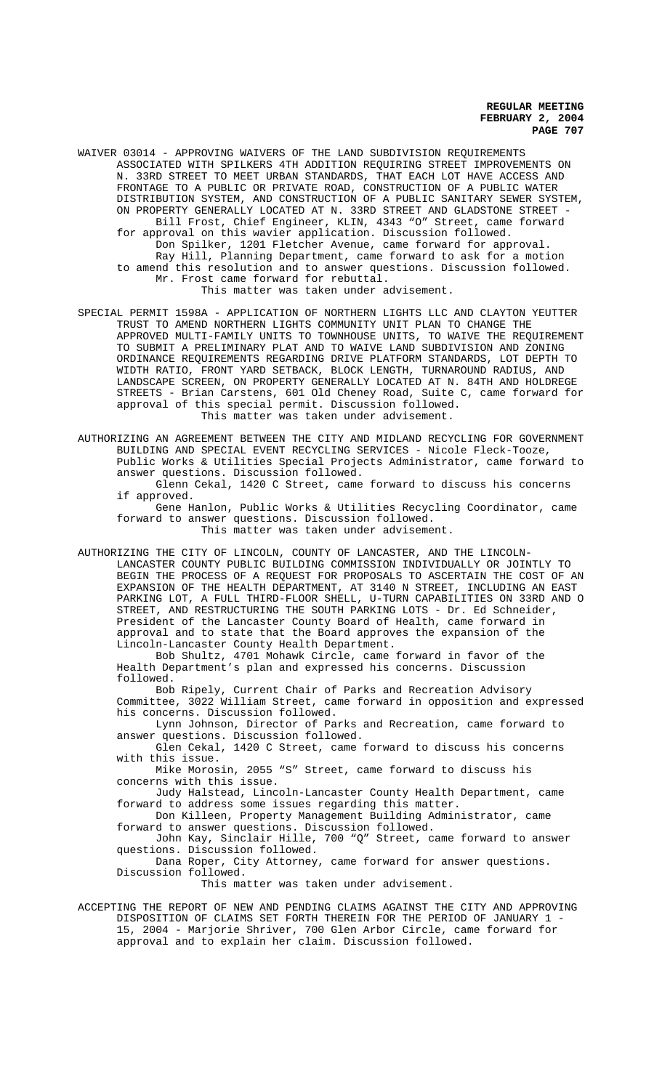WAIVER 03014 - APPROVING WAIVERS OF THE LAND SUBDIVISION REQUIREMENTS ASSOCIATED WITH SPILKERS 4TH ADDITION REQUIRING STREET IMPROVEMENTS ON N. 33RD STREET TO MEET URBAN STANDARDS, THAT EACH LOT HAVE ACCESS AND FRONTAGE TO A PUBLIC OR PRIVATE ROAD, CONSTRUCTION OF A PUBLIC WATER DISTRIBUTION SYSTEM, AND CONSTRUCTION OF A PUBLIC SANITARY SEWER SYSTEM, ON PROPERTY GENERALLY LOCATED AT N. 33RD STREET AND GLADSTONE STREET -Bill Frost, Chief Engineer, KLIN, 4343 "O" Street, came forward for approval on this wavier application. Discussion followed. Don Spilker, 1201 Fletcher Avenue, came forward for approval. Ray Hill, Planning Department, came forward to ask for a motion to amend this resolution and to answer questions. Discussion followed. Mr. Frost came forward for rebuttal. This matter was taken under advisement.

SPECIAL PERMIT 1598A - APPLICATION OF NORTHERN LIGHTS LLC AND CLAYTON YEUTTER TRUST TO AMEND NORTHERN LIGHTS COMMUNITY UNIT PLAN TO CHANGE THE APPROVED MULTI-FAMILY UNITS TO TOWNHOUSE UNITS, TO WAIVE THE REQUIREMENT TO SUBMIT A PRELIMINARY PLAT AND TO WAIVE LAND SUBDIVISION AND ZONING ORDINANCE REQUIREMENTS REGARDING DRIVE PLATFORM STANDARDS, LOT DEPTH TO WIDTH RATIO, FRONT YARD SETBACK, BLOCK LENGTH, TURNAROUND RADIUS, AND LANDSCAPE SCREEN, ON PROPERTY GENERALLY LOCATED AT N. 84TH AND HOLDREGE STREETS - Brian Carstens, 601 Old Cheney Road, Suite C, came forward for approval of this special permit. Discussion followed. This matter was taken under advisement.

AUTHORIZING AN AGREEMENT BETWEEN THE CITY AND MIDLAND RECYCLING FOR GOVERNMENT BUILDING AND SPECIAL EVENT RECYCLING SERVICES - Nicole Fleck-Tooze, Public Works & Utilities Special Projects Administrator, came forward to answer questions. Discussion followed.

Glenn Cekal, 1420 C Street, came forward to discuss his concerns if approved.

Gene Hanlon, Public Works & Utilities Recycling Coordinator, came forward to answer questions. Discussion followed. This matter was taken under advisement.

AUTHORIZING THE CITY OF LINCOLN, COUNTY OF LANCASTER, AND THE LINCOLN-LANCASTER COUNTY PUBLIC BUILDING COMMISSION INDIVIDUALLY OR JOINTLY TO BEGIN THE PROCESS OF A REQUEST FOR PROPOSALS TO ASCERTAIN THE COST OF AN EXPANSION OF THE HEALTH DEPARTMENT, AT 3140 N STREET, INCLUDING AN EAST PARKING LOT, A FULL THIRD-FLOOR SHELL, U-TURN CAPABILITIES ON 33RD AND O STREET, AND RESTRUCTURING THE SOUTH PARKING LOTS - Dr. Ed Schneider, President of the Lancaster County Board of Health, came forward in approval and to state that the Board approves the expansion of the Lincoln-Lancaster County Health Department.

Bob Shultz, 4701 Mohawk Circle, came forward in favor of the Health Department's plan and expressed his concerns. Discussion followed.

Bob Ripely, Current Chair of Parks and Recreation Advisory Committee, 3022 William Street, came forward in opposition and expressed his concerns. Discussion followed.

Lynn Johnson, Director of Parks and Recreation, came forward to answer questions. Discussion followed.

Glen Cekal, 1420 C Street, came forward to discuss his concerns with this issue.

Mike Morosin, 2055 "S" Street, came forward to discuss his concerns with this issue.

Judy Halstead, Lincoln-Lancaster County Health Department, came forward to address some issues regarding this matter.

Don Killeen, Property Management Building Administrator, came forward to answer questions. Discussion followed.

John Kay, Sinclair Hille, 700 "Q" Street, came forward to answer questions. Discussion followed.

Dana Roper, City Attorney, came forward for answer questions. Discussion followed.

This matter was taken under advisement.

ACCEPTING THE REPORT OF NEW AND PENDING CLAIMS AGAINST THE CITY AND APPROVING DISPOSITION OF CLAIMS SET FORTH THEREIN FOR THE PERIOD OF JANUARY 1 - 15, 2004 - Marjorie Shriver, 700 Glen Arbor Circle, came forward for approval and to explain her claim. Discussion followed.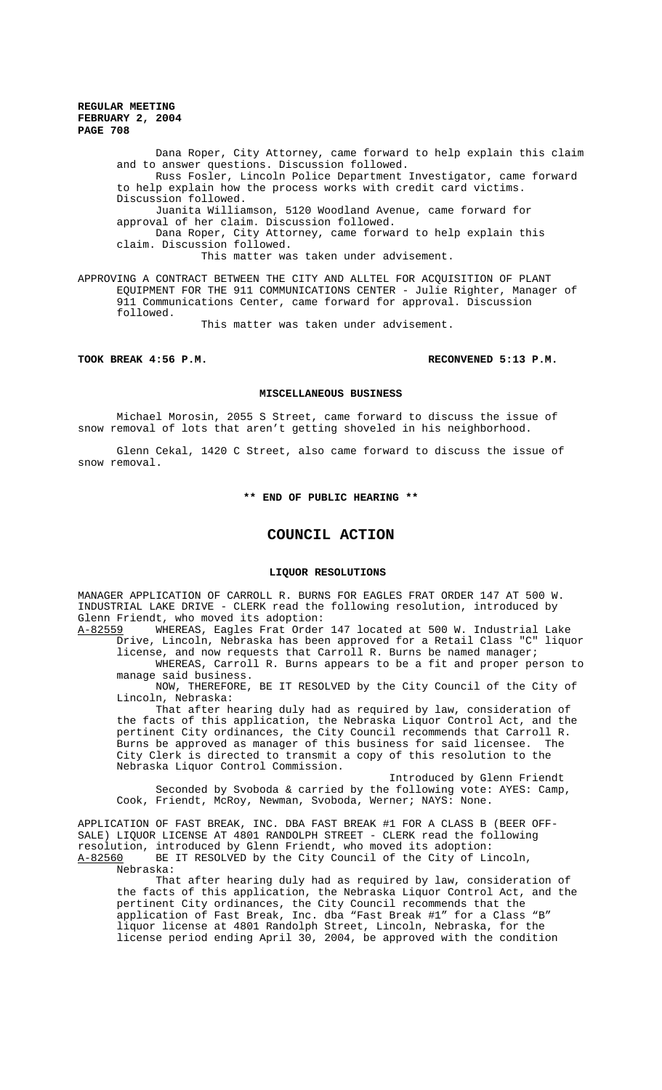Dana Roper, City Attorney, came forward to help explain this claim and to answer questions. Discussion followed. Russ Fosler, Lincoln Police Department Investigator, came forward to help explain how the process works with credit card victims. Discussion followed. Juanita Williamson, 5120 Woodland Avenue, came forward for approval of her claim. Discussion followed. Dana Roper, City Attorney, came forward to help explain this claim. Discussion followed. This matter was taken under advisement.

APPROVING A CONTRACT BETWEEN THE CITY AND ALLTEL FOR ACQUISITION OF PLANT EQUIPMENT FOR THE 911 COMMUNICATIONS CENTER - Julie Righter, Manager of 911 Communications Center, came forward for approval. Discussion followed.

This matter was taken under advisement.

# **TOOK BREAK 4:56 P.M. RECONVENED 5:13 P.M.**

#### **MISCELLANEOUS BUSINESS**

Michael Morosin, 2055 S Street, came forward to discuss the issue of snow removal of lots that aren't getting shoveled in his neighborhood.

Glenn Cekal, 1420 C Street, also came forward to discuss the issue of snow removal.

**\*\* END OF PUBLIC HEARING \*\***

# **COUNCIL ACTION**

#### **LIQUOR RESOLUTIONS**

MANAGER APPLICATION OF CARROLL R. BURNS FOR EAGLES FRAT ORDER 147 AT 500 W. INDUSTRIAL LAKE DRIVE - CLERK read the following resolution, introduced by Glenn Friendt, who moved its adoption:

A-82559 WHEREAS, Eagles Frat Order 147 located at 500 W. Industrial Lake Drive, Lincoln, Nebraska has been approved for a Retail Class "C" liquor license, and now requests that Carroll R. Burns be named manager;

WHEREAS, Carroll R. Burns appears to be a fit and proper person to manage said business.

NOW, THEREFORE, BE IT RESOLVED by the City Council of the City of Lincoln, Nebraska:

That after hearing duly had as required by law, consideration of the facts of this application, the Nebraska Liquor Control Act, and the pertinent City ordinances, the City Council recommends that Carroll R.<br>Burns be approved as manager of this business for said licensee. The Burns be approved as manager of this business for said licensee. City Clerk is directed to transmit a copy of this resolution to the Nebraska Liquor Control Commission.

Introduced by Glenn Friendt Seconded by Svoboda & carried by the following vote: AYES: Camp, Cook, Friendt, McRoy, Newman, Svoboda, Werner; NAYS: None.

APPLICATION OF FAST BREAK, INC. DBA FAST BREAK #1 FOR A CLASS B (BEER OFF-SALE) LIQUOR LICENSE AT 4801 RANDOLPH STREET - CLERK read the following resolution, introduced by Glenn Friendt, who moved its adoption:<br>A-82560 BE IT RESOLVED by the City Council of the City of Li BE IT RESOLVED by the City Council of the City of Lincoln, Nebraska:

That after hearing duly had as required by law, consideration of the facts of this application, the Nebraska Liquor Control Act, and the pertinent City ordinances, the City Council recommends that the application of Fast Break, Inc. dba "Fast Break #1" for a Class "B" liquor license at 4801 Randolph Street, Lincoln, Nebraska, for the license period ending April 30, 2004, be approved with the condition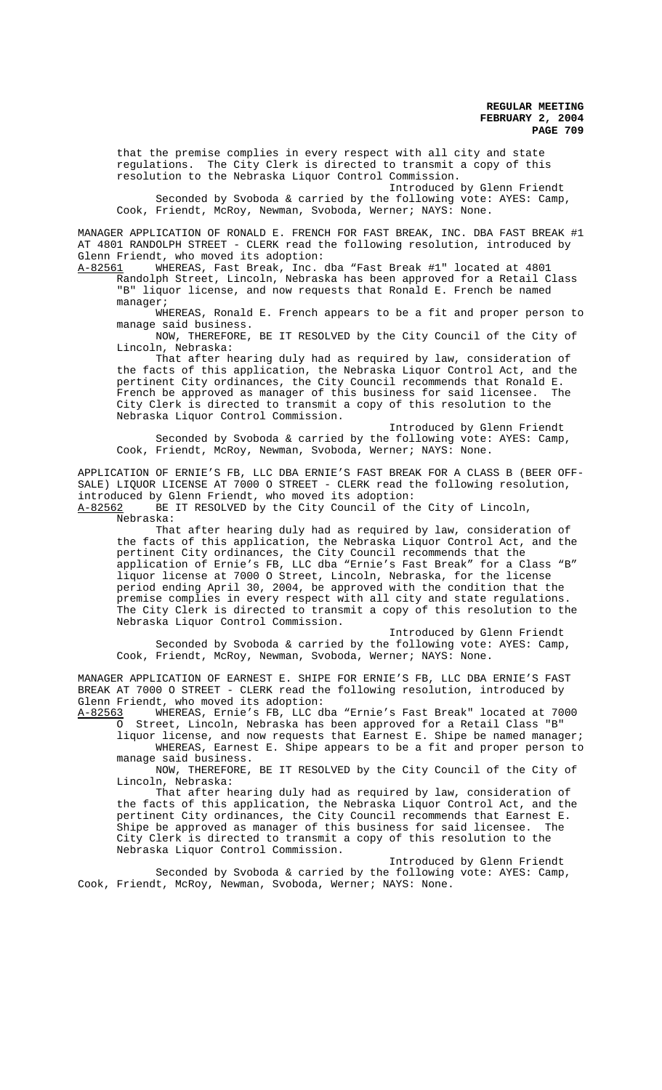that the premise complies in every respect with all city and state regulations. The City Clerk is directed to transmit a copy of this resolution to the Nebraska Liquor Control Commission.

Introduced by Glenn Friendt Seconded by Svoboda & carried by the following vote: AYES: Camp, Cook, Friendt, McRoy, Newman, Svoboda, Werner; NAYS: None.

MANAGER APPLICATION OF RONALD E. FRENCH FOR FAST BREAK, INC. DBA FAST BREAK #1 AT 4801 RANDOLPH STREET - CLERK read the following resolution, introduced by Glenn Friendt, who moved its adoption:<br><u>A-82561</u> WHEREAS, Fast Break, Inc.

WHEREAS, Fast Break, Inc. dba "Fast Break #1" located at 4801 Randolph Street, Lincoln, Nebraska has been approved for a Retail Class "B" liquor license, and now requests that Ronald E. French be named manager;

WHEREAS, Ronald E. French appears to be a fit and proper person to manage said business.

NOW, THEREFORE, BE IT RESOLVED by the City Council of the City of Lincoln, Nebraska:

That after hearing duly had as required by law, consideration of the facts of this application, the Nebraska Liquor Control Act, and the pertinent City ordinances, the City Council recommends that Ronald E.<br>French be approved as manager of this business for said licensee. The French be approved as manager of this business for said licensee. City Clerk is directed to transmit a copy of this resolution to the Nebraska Liquor Control Commission.

Introduced by Glenn Friendt Seconded by Svoboda & carried by the following vote: AYES: Camp, Cook, Friendt, McRoy, Newman, Svoboda, Werner; NAYS: None.

APPLICATION OF ERNIE'S FB, LLC DBA ERNIE'S FAST BREAK FOR A CLASS B (BEER OFF-SALE) LIQUOR LICENSE AT 7000 O STREET - CLERK read the following resolution, introduced by Glenn Friendt, who moved its adoption: A-82562 BE IT RESOLVED by the City Council of the City of Lincoln, Nebraska:

That after hearing duly had as required by law, consideration of the facts of this application, the Nebraska Liquor Control Act, and the pertinent City ordinances, the City Council recommends that the application of Ernie's FB, LLC dba "Ernie's Fast Break" for a Class "B" liquor license at 7000 O Street, Lincoln, Nebraska, for the license period ending April 30, 2004, be approved with the condition that the premise complies in every respect with all city and state regulations. The City Clerk is directed to transmit a copy of this resolution to the Nebraska Liquor Control Commission.

Introduced by Glenn Friendt Seconded by Svoboda & carried by the following vote: AYES: Camp, Cook, Friendt, McRoy, Newman, Svoboda, Werner; NAYS: None.

MANAGER APPLICATION OF EARNEST E. SHIPE FOR ERNIE'S FB, LLC DBA ERNIE'S FAST BREAK AT 7000 O STREET - CLERK read the following resolution, introduced by Glenn Friendt, who moved its adoption:<br>A-82563 WHEREAS, Ernie's FB, LLC d

WHEREAS, Ernie's FB, LLC dba "Ernie's Fast Break" located at 7000 O Street, Lincoln, Nebraska has been approved for a Retail Class "B"

liquor license, and now requests that Earnest E. Shipe be named manager; WHEREAS, Earnest E. Shipe appears to be a fit and proper person to manage said business.

NOW, THEREFORE, BE IT RESOLVED by the City Council of the City of Lincoln, Nebraska:

That after hearing duly had as required by law, consideration of the facts of this application, the Nebraska Liquor Control Act, and the pertinent City ordinances, the City Council recommends that Earnest E. Shipe be approved as manager of this business for said licensee. The City Clerk is directed to transmit a copy of this resolution to the Nebraska Liquor Control Commission.

Introduced by Glenn Friendt Seconded by Svoboda & carried by the following vote: AYES: Camp, Cook, Friendt, McRoy, Newman, Svoboda, Werner; NAYS: None.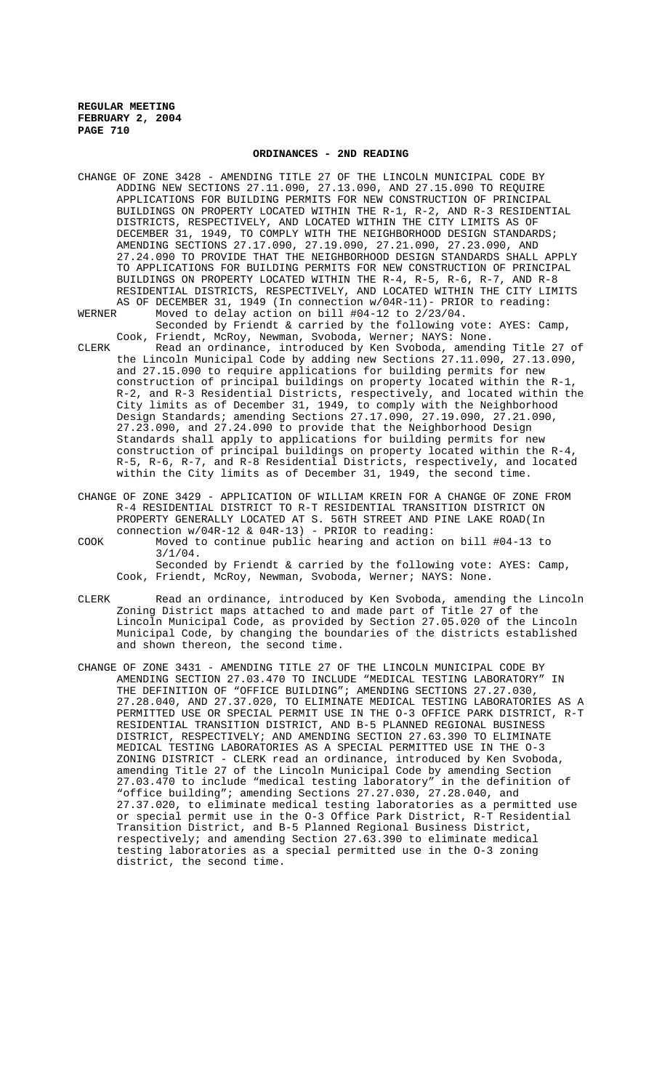#### **ORDINANCES - 2ND READING**

CHANGE OF ZONE 3428 - AMENDING TITLE 27 OF THE LINCOLN MUNICIPAL CODE BY ADDING NEW SECTIONS 27.11.090, 27.13.090, AND 27.15.090 TO REQUIRE APPLICATIONS FOR BUILDING PERMITS FOR NEW CONSTRUCTION OF PRINCIPAL BUILDINGS ON PROPERTY LOCATED WITHIN THE R-1, R-2, AND R-3 RESIDENTIAL DISTRICTS, RESPECTIVELY, AND LOCATED WITHIN THE CITY LIMITS AS OF DECEMBER 31, 1949, TO COMPLY WITH THE NEIGHBORHOOD DESIGN STANDARDS; AMENDING SECTIONS 27.17.090, 27.19.090, 27.21.090, 27.23.090, AND 27.24.090 TO PROVIDE THAT THE NEIGHBORHOOD DESIGN STANDARDS SHALL APPLY TO APPLICATIONS FOR BUILDING PERMITS FOR NEW CONSTRUCTION OF PRINCIPAL BUILDINGS ON PROPERTY LOCATED WITHIN THE R-4, R-5, R-6, R-7, AND R-8 RESIDENTIAL DISTRICTS, RESPECTIVELY, AND LOCATED WITHIN THE CITY LIMITS AS OF DECEMBER 31, 1949 (In connection w/04R-11)- PRIOR to reading:<br>WERNER Moved to delay action on bill #04-12 to 2/23/04.

Moved to delay action on bill  $#04-12$  to  $2/23/04$ . Seconded by Friendt & carried by the following vote: AYES: Camp, Cook, Friendt, McRoy, Newman, Svoboda, Werner; NAYS: None.

CLERK Read an ordinance, introduced by Ken Svoboda, amending Title 27 of the Lincoln Municipal Code by adding new Sections 27.11.090, 27.13.090, and 27.15.090 to require applications for building permits for new construction of principal buildings on property located within the R-1, R-2, and R-3 Residential Districts, respectively, and located within the City limits as of December 31, 1949, to comply with the Neighborhood Design Standards; amending Sections 27.17.090, 27.19.090, 27.21.090, 27.23.090, and 27.24.090 to provide that the Neighborhood Design Standards shall apply to applications for building permits for new construction of principal buildings on property located within the R-4, R-5, R-6, R-7, and R-8 Residential Districts, respectively, and located within the City limits as of December 31, 1949, the second time.

CHANGE OF ZONE 3429 - APPLICATION OF WILLIAM KREIN FOR A CHANGE OF ZONE FROM R-4 RESIDENTIAL DISTRICT TO R-T RESIDENTIAL TRANSITION DISTRICT ON PROPERTY GENERALLY LOCATED AT S. 56TH STREET AND PINE LAKE ROAD(In connection  $w/04R-12 \& 04R-13$ ) - PRIOR to reading:

- COOK Moved to continue public hearing and action on bill #04-13 to 3/1/04. Seconded by Friendt & carried by the following vote: AYES: Camp, Cook, Friendt, McRoy, Newman, Svoboda, Werner; NAYS: None.
- CLERK Read an ordinance, introduced by Ken Svoboda, amending the Lincoln Zoning District maps attached to and made part of Title 27 of the Lincoln Municipal Code, as provided by Section 27.05.020 of the Lincoln Municipal Code, by changing the boundaries of the districts established and shown thereon, the second time.
- CHANGE OF ZONE 3431 AMENDING TITLE 27 OF THE LINCOLN MUNICIPAL CODE BY AMENDING SECTION 27.03.470 TO INCLUDE "MEDICAL TESTING LABORATORY" IN THE DEFINITION OF "OFFICE BUILDING"; AMENDING SECTIONS 27.27.030, 27.28.040, AND 27.37.020, TO ELIMINATE MEDICAL TESTING LABORATORIES AS A PERMITTED USE OR SPECIAL PERMIT USE IN THE O-3 OFFICE PARK DISTRICT, R-T RESIDENTIAL TRANSITION DISTRICT, AND B-5 PLANNED REGIONAL BUSINESS DISTRICT, RESPECTIVELY; AND AMENDING SECTION 27.63.390 TO ELIMINATE MEDICAL TESTING LABORATORIES AS A SPECIAL PERMITTED USE IN THE O-3 ZONING DISTRICT - CLERK read an ordinance, introduced by Ken Svoboda, amending Title 27 of the Lincoln Municipal Code by amending Section 27.03.470 to include "medical testing laboratory" in the definition of "office building"; amending Sections 27.27.030, 27.28.040, and 27.37.020, to eliminate medical testing laboratories as a permitted use or special permit use in the O-3 Office Park District, R-T Residential Transition District, and B-5 Planned Regional Business District, respectively; and amending Section 27.63.390 to eliminate medical testing laboratories as a special permitted use in the O-3 zoning district, the second time.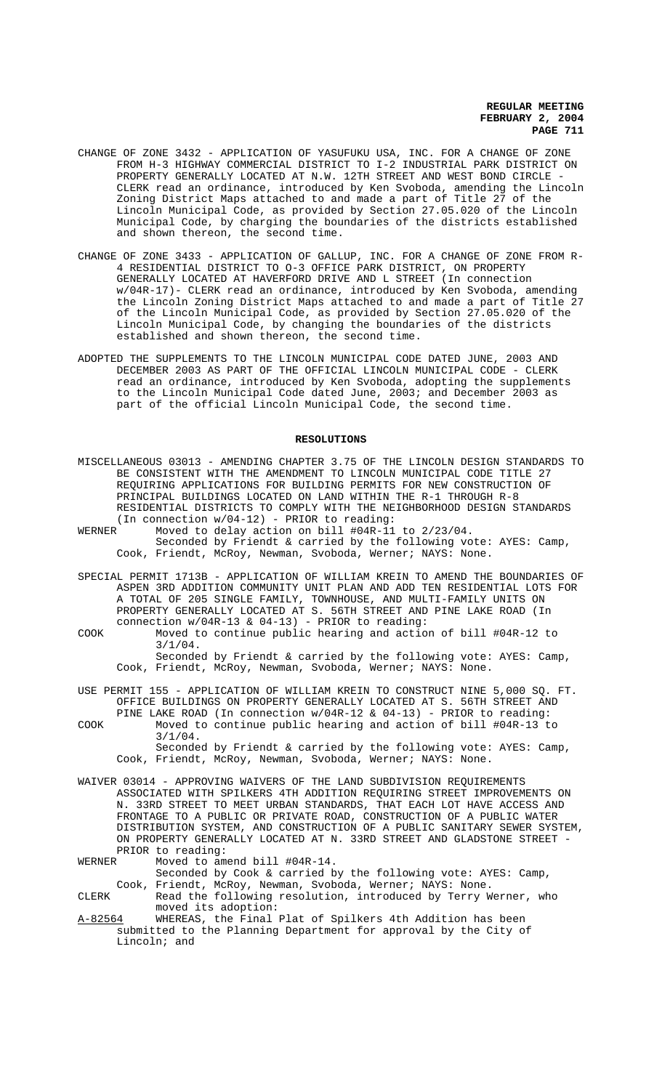- CHANGE OF ZONE 3432 APPLICATION OF YASUFUKU USA, INC. FOR A CHANGE OF ZONE FROM H-3 HIGHWAY COMMERCIAL DISTRICT TO I-2 INDUSTRIAL PARK DISTRICT ON PROPERTY GENERALLY LOCATED AT N.W. 12TH STREET AND WEST BOND CIRCLE - CLERK read an ordinance, introduced by Ken Svoboda, amending the Lincoln Zoning District Maps attached to and made a part of Title 27 of the Lincoln Municipal Code, as provided by Section 27.05.020 of the Lincoln Municipal Code, by charging the boundaries of the districts established and shown thereon, the second time.
- CHANGE OF ZONE 3433 APPLICATION OF GALLUP, INC. FOR A CHANGE OF ZONE FROM R-4 RESIDENTIAL DISTRICT TO O-3 OFFICE PARK DISTRICT, ON PROPERTY GENERALLY LOCATED AT HAVERFORD DRIVE AND L STREET (In connection w/04R-17)- CLERK read an ordinance, introduced by Ken Svoboda, amending the Lincoln Zoning District Maps attached to and made a part of Title 27 of the Lincoln Municipal Code, as provided by Section 27.05.020 of the Lincoln Municipal Code, by changing the boundaries of the districts established and shown thereon, the second time.
- ADOPTED THE SUPPLEMENTS TO THE LINCOLN MUNICIPAL CODE DATED JUNE, 2003 AND DECEMBER 2003 AS PART OF THE OFFICIAL LINCOLN MUNICIPAL CODE - CLERK read an ordinance, introduced by Ken Svoboda, adopting the supplements to the Lincoln Municipal Code dated June, 2003; and December 2003 as part of the official Lincoln Municipal Code, the second time.

#### **RESOLUTIONS**

- MISCELLANEOUS 03013 AMENDING CHAPTER 3.75 OF THE LINCOLN DESIGN STANDARDS TO BE CONSISTENT WITH THE AMENDMENT TO LINCOLN MUNICIPAL CODE TITLE 27 REQUIRING APPLICATIONS FOR BUILDING PERMITS FOR NEW CONSTRUCTION OF PRINCIPAL BUILDINGS LOCATED ON LAND WITHIN THE R-1 THROUGH R-8 RESIDENTIAL DISTRICTS TO COMPLY WITH THE NEIGHBORHOOD DESIGN STANDARDS (In connection  $w/04-12$ ) - PRIOR to reading:<br>WERNER Moved to delay action on bill #04R-11
- Moved to delay action on bill #04R-11 to 2/23/04. Seconded by Friendt & carried by the following vote: AYES: Camp, Cook, Friendt, McRoy, Newman, Svoboda, Werner; NAYS: None.
- SPECIAL PERMIT 1713B APPLICATION OF WILLIAM KREIN TO AMEND THE BOUNDARIES OF ASPEN 3RD ADDITION COMMUNITY UNIT PLAN AND ADD TEN RESIDENTIAL LOTS FOR A TOTAL OF 205 SINGLE FAMILY, TOWNHOUSE, AND MULTI-FAMILY UNITS ON PROPERTY GENERALLY LOCATED AT S. 56TH STREET AND PINE LAKE ROAD (In connection  $w/04R-13 \& 04-13$ ) - PRIOR to reading:
- COOK Moved to continue public hearing and action of bill #04R-12 to 3/1/04. Seconded by Friendt & carried by the following vote: AYES: Camp, Cook, Friendt, McRoy, Newman, Svoboda, Werner; NAYS: None.
- USE PERMIT 155 APPLICATION OF WILLIAM KREIN TO CONSTRUCT NINE 5,000 SQ. FT. OFFICE BUILDINGS ON PROPERTY GENERALLY LOCATED AT S. 56TH STREET AND PINE LAKE ROAD (In connection w/04R-12 & 04-13) - PRIOR to reading: COOK Moved to continue public hearing and action of bill #04R-13 to 3/1/04. Seconded by Friendt & carried by the following vote: AYES: Camp,
	- Cook, Friendt, McRoy, Newman, Svoboda, Werner; NAYS: None.
- WAIVER 03014 APPROVING WAIVERS OF THE LAND SUBDIVISION REQUIREMENTS ASSOCIATED WITH SPILKERS 4TH ADDITION REQUIRING STREET IMPROVEMENTS ON N. 33RD STREET TO MEET URBAN STANDARDS, THAT EACH LOT HAVE ACCESS AND FRONTAGE TO A PUBLIC OR PRIVATE ROAD, CONSTRUCTION OF A PUBLIC WATER DISTRIBUTION SYSTEM, AND CONSTRUCTION OF A PUBLIC SANITARY SEWER SYSTEM, ON PROPERTY GENERALLY LOCATED AT N. 33RD STREET AND GLADSTONE STREET - PRIOR to reading:<br>WERNER Moved to am
- Moved to amend bill #04R-14. Seconded by Cook & carried by the following vote: AYES: Camp, Cook, Friendt, McRoy, Newman, Svoboda, Werner; NAYS: None.
- CLERK Read the following resolution, introduced by Terry Werner, who moved its adoption: A-82564 WHEREAS, the Final Plat of Spilkers 4th Addition has been
	- submitted to the Planning Department for approval by the City of Lincoln; and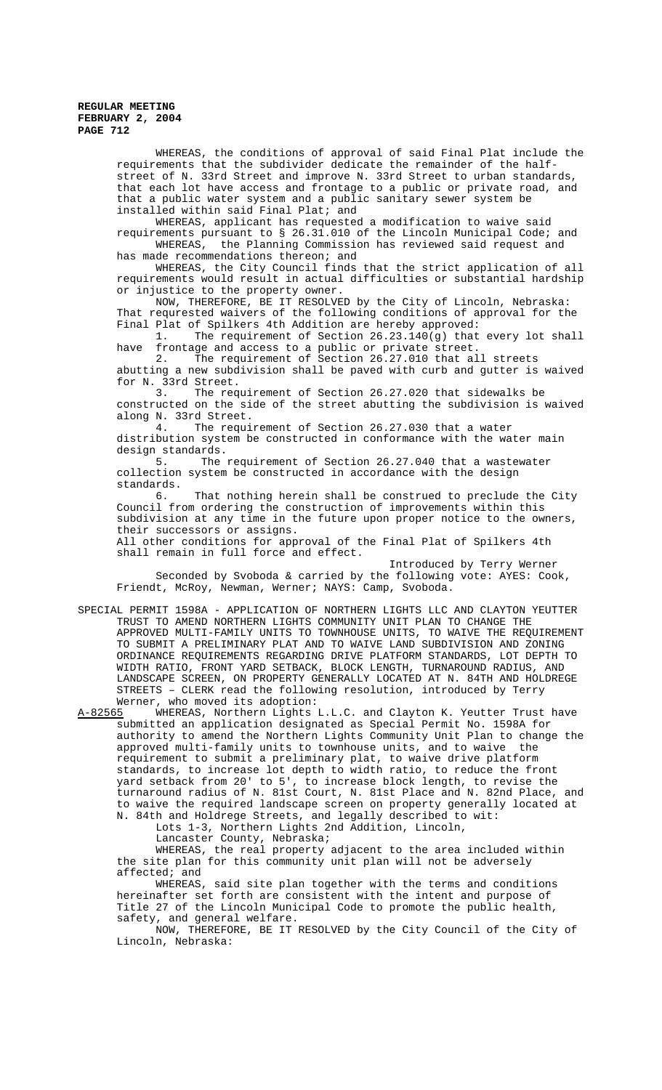> WHEREAS, the conditions of approval of said Final Plat include the requirements that the subdivider dedicate the remainder of the halfstreet of N. 33rd Street and improve N. 33rd Street to urban standards, that each lot have access and frontage to a public or private road, and that a public water system and a public sanitary sewer system be installed within said Final Plat; and

WHEREAS, applicant has requested a modification to waive said requirements pursuant to § 26.31.010 of the Lincoln Municipal Code; and WHEREAS, the Planning Commission has reviewed said request and

has made recommendations thereon; and

WHEREAS, the City Council finds that the strict application of all requirements would result in actual difficulties or substantial hardship or injustice to the property owner.

NOW, THEREFORE, BE IT RESOLVED by the City of Lincoln, Nebraska: That requrested waivers of the following conditions of approval for the

Final Plat of Spilkers 4th Addition are hereby approved:<br>1. The requirement of Section 26.23.140(g) that The requirement of Section  $26.23.140(g)$  that every lot shall have frontage and access to a public or private street.

2. The requirement of Section 26.27.010 that all streets abutting a new subdivision shall be paved with curb and gutter is waived for N. 33rd Street.<br>3. The req

The requirement of Section 26.27.020 that sidewalks be constructed on the side of the street abutting the subdivision is waived along N. 33rd Street.<br>4. The requi

The requirement of Section 26.27.030 that a water distribution system be constructed in conformance with the water main design standards.

5. The requirement of Section 26.27.040 that a wastewater collection system be constructed in accordance with the design

standards.<br>6. That nothing herein shall be construed to preclude the City Council from ordering the construction of improvements within this subdivision at any time in the future upon proper notice to the owners, their successors or assigns. All other conditions for approval of the Final Plat of Spilkers 4th

shall remain in full force and effect.

Introduced by Terry Werner Seconded by Svoboda & carried by the following vote: AYES: Cook, Friendt, McRoy, Newman, Werner; NAYS: Camp, Svoboda.

SPECIAL PERMIT 1598A - APPLICATION OF NORTHERN LIGHTS LLC AND CLAYTON YEUTTER TRUST TO AMEND NORTHERN LIGHTS COMMUNITY UNIT PLAN TO CHANGE THE APPROVED MULTI-FAMILY UNITS TO TOWNHOUSE UNITS, TO WAIVE THE REQUIREMENT TO SUBMIT A PRELIMINARY PLAT AND TO WAIVE LAND SUBDIVISION AND ZONING ORDINANCE REQUIREMENTS REGARDING DRIVE PLATFORM STANDARDS, LOT DEPTH TO WIDTH RATIO, FRONT YARD SETBACK, BLOCK LENGTH, TURNAROUND RADIUS, AND LANDSCAPE SCREEN, ON PROPERTY GENERALLY LOCATED AT N. 84TH AND HOLDREGE STREETS – CLERK read the following resolution, introduced by Terry Werner, who moved its adoption:<br>A-82565 WHEREAS, Northern Lights

WHEREAS, Northern Lights L.L.C. and Clayton K. Yeutter Trust have submitted an application designated as Special Permit No. 1598A for authority to amend the Northern Lights Community Unit Plan to change the approved multi-family units to townhouse units, and to waive the requirement to submit a preliminary plat, to waive drive platform standards, to increase lot depth to width ratio, to reduce the front yard setback from 20' to 5', to increase block length, to revise the turnaround radius of N. 81st Court, N. 81st Place and N. 82nd Place, and to waive the required landscape screen on property generally located at N. 84th and Holdrege Streets, and legally described to wit:

Lots 1-3, Northern Lights 2nd Addition, Lincoln,

Lancaster County, Nebraska;

WHEREAS, the real property adjacent to the area included within the site plan for this community unit plan will not be adversely affected; and

WHEREAS, said site plan together with the terms and conditions hereinafter set forth are consistent with the intent and purpose of Title 27 of the Lincoln Municipal Code to promote the public health, safety, and general welfare.

NOW, THEREFORE, BE IT RESOLVED by the City Council of the City of Lincoln, Nebraska: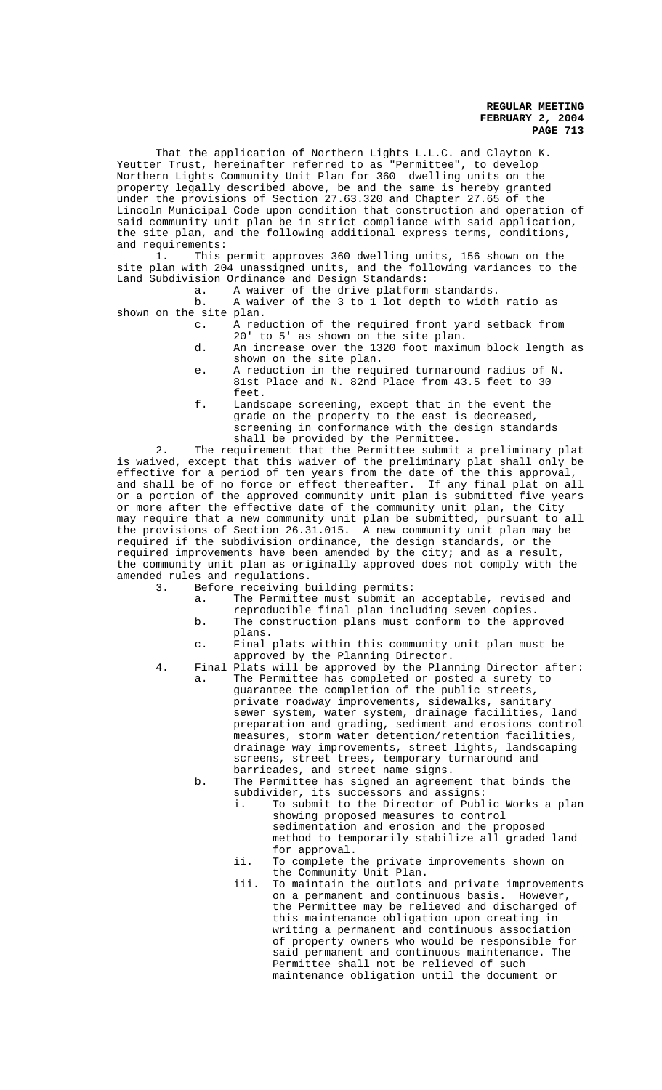That the application of Northern Lights L.L.C. and Clayton K. Yeutter Trust, hereinafter referred to as "Permittee", to develop Northern Lights Community Unit Plan for 360 dwelling units on the property legally described above, be and the same is hereby granted under the provisions of Section 27.63.320 and Chapter 27.65 of the Lincoln Municipal Code upon condition that construction and operation of said community unit plan be in strict compliance with said application, the site plan, and the following additional express terms, conditions, and requirements:<br>1. This

This permit approves 360 dwelling units, 156 shown on the site plan with 204 unassigned units, and the following variances to the Land Subdivision Ordinance and Design Standards:

a. A waiver of the drive platform standards.<br>b. A waiver of the 3 to 1 lot depth to width

A waiver of the 3 to  $1$  lot depth to width ratio as shown on the site plan.

- c. A reduction of the required front yard setback from 20' to 5' as shown on the site plan.
- d. An increase over the 1320 foot maximum block length as shown on the site plan.
- e. A reduction in the required turnaround radius of N. 81st Place and N. 82nd Place from 43.5 feet to 30 feet.
- f. Landscape screening, except that in the event the grade on the property to the east is decreased, screening in conformance with the design standards shall be provided by the Permittee.

2. The requirement that the Permittee submit a preliminary plat is waived, except that this waiver of the preliminary plat shall only be effective for a period of ten years from the date of the this approval, and shall be of no force or effect thereafter. If any final plat on all or a portion of the approved community unit plan is submitted five years or more after the effective date of the community unit plan, the City may require that a new community unit plan be submitted, pursuant to all the provisions of Section 26.31.015. A new community unit plan may be required if the subdivision ordinance, the design standards, or the required improvements have been amended by the city; and as a result, the community unit plan as originally approved does not comply with the amended rules and regulations.<br>Before receiving b

Before receiving building permits:

- a. The Permittee must submit an acceptable, revised and reproducible final plan including seven copies.
- b. The construction plans must conform to the approved plans.
- c. Final plats within this community unit plan must be approved by the Planning Director.
- 4. Final Plats will be approved by the Planning Director after: The Permittee has completed or posted a surety to guarantee the completion of the public streets, private roadway improvements, sidewalks, sanitary sewer system, water system, drainage facilities, land preparation and grading, sediment and erosions control measures, storm water detention/retention facilities, drainage way improvements, street lights, landscaping screens, street trees, temporary turnaround and barricades, and street name signs.
	- b. The Permittee has signed an agreement that binds the subdivider, its successors and assigns:
		- i. To submit to the Director of Public Works a plan showing proposed measures to control sedimentation and erosion and the proposed method to temporarily stabilize all graded land for approval.
		- ii. To complete the private improvements shown on the Community Unit Plan.
		- iii. To maintain the outlots and private improvements on a permanent and continuous basis. However, the Permittee may be relieved and discharged of this maintenance obligation upon creating in writing a permanent and continuous association of property owners who would be responsible for said permanent and continuous maintenance. The Permittee shall not be relieved of such maintenance obligation until the document or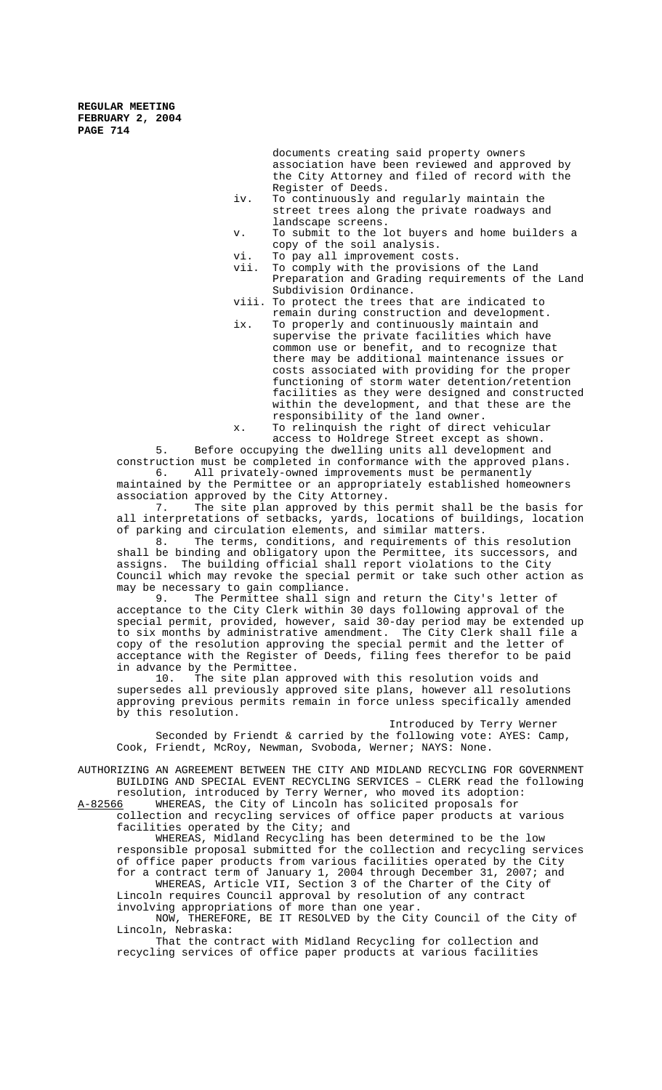documents creating said property owners association have been reviewed and approved by the City Attorney and filed of record with the Register of Deeds.

- iv. To continuously and regularly maintain the street trees along the private roadways and landscape screens.
- v. To submit to the lot buyers and home builders a copy of the soil analysis.
- vi. To pay all improvement costs.<br>vii. To comply with the provisions
- To comply with the provisions of the Land Preparation and Grading requirements of the Land Subdivision Ordinance.
- viii. To protect the trees that are indicated to remain during construction and development.
- ix. To properly and continuously maintain and supervise the private facilities which have common use or benefit, and to recognize that there may be additional maintenance issues or costs associated with providing for the proper functioning of storm water detention/retention facilities as they were designed and constructed within the development, and that these are the responsibility of the land owner.

x. To relinquish the right of direct vehicular access to Holdrege Street except as shown.

5. Before occupying the dwelling units all development and construction must be completed in conformance with the approved plans. 6. All privately-owned improvements must be permanently maintained by the Permittee or an appropriately established homeowners association approved by the City Attorney.

7. The site plan approved by this permit shall be the basis for all interpretations of setbacks, yards, locations of buildings, location

of parking and circulation elements, and similar matters.<br>8. The terms, conditions, and requirements of the The terms, conditions, and requirements of this resolution shall be binding and obligatory upon the Permittee, its successors, and assigns. The building official shall report violations to the City Council which may revoke the special permit or take such other action as may be necessary to gain compliance.

9. The Permittee shall sign and return the City's letter of acceptance to the City Clerk within 30 days following approval of the special permit, provided, however, said 30-day period may be extended up to six months by administrative amendment. The City Clerk shall file a copy of the resolution approving the special permit and the letter of acceptance with the Register of Deeds, filing fees therefor to be paid in advance by the Permittee.

10. The site plan approved with this resolution voids and supersedes all previously approved site plans, however all resolutions approving previous permits remain in force unless specifically amended by this resolution.

Introduced by Terry Werner Seconded by Friendt & carried by the following vote: AYES: Camp, Cook, Friendt, McRoy, Newman, Svoboda, Werner; NAYS: None.

AUTHORIZING AN AGREEMENT BETWEEN THE CITY AND MIDLAND RECYCLING FOR GOVERNMENT BUILDING AND SPECIAL EVENT RECYCLING SERVICES – CLERK read the following resolution, introduced by Terry Werner, who moved its adoption:

A-82566 WHEREAS, the City of Lincoln has solicited proposals for collection and recycling services of office paper products at various

facilities operated by the City; and WHEREAS, Midland Recycling has been determined to be the low responsible proposal submitted for the collection and recycling services of office paper products from various facilities operated by the City for a contract term of January 1, 2004 through December 31, 2007; and

WHEREAS, Article VII, Section 3 of the Charter of the City of Lincoln requires Council approval by resolution of any contract involving appropriations of more than one year.

NOW, THEREFORE, BE IT RESOLVED by the City Council of the City of Lincoln, Nebraska:

That the contract with Midland Recycling for collection and recycling services of office paper products at various facilities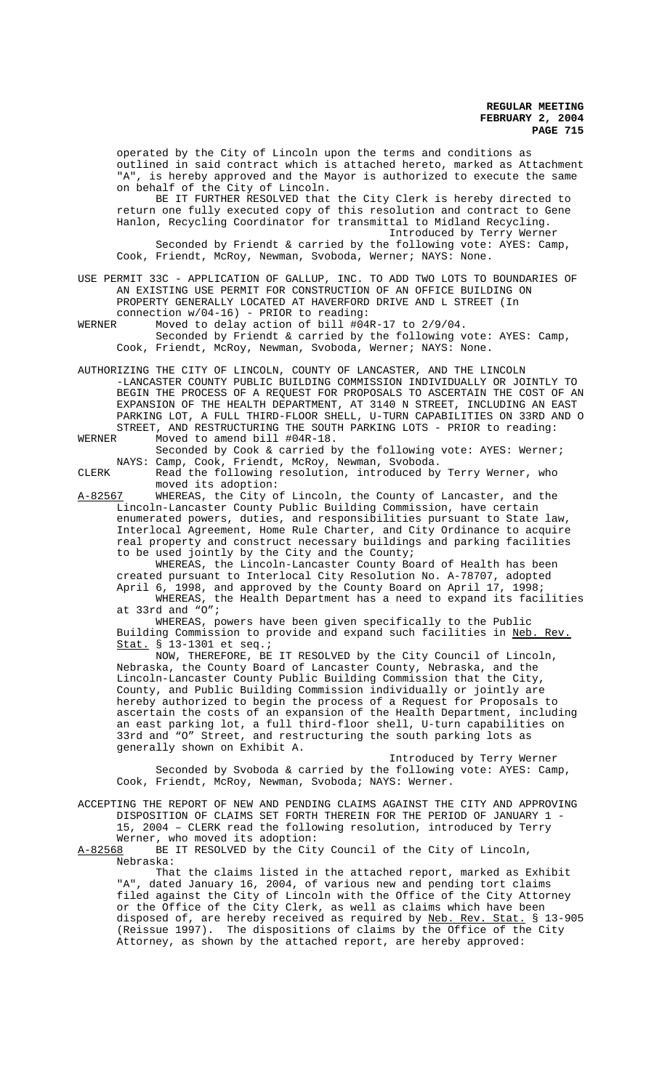operated by the City of Lincoln upon the terms and conditions as outlined in said contract which is attached hereto, marked as Attachment "A", is hereby approved and the Mayor is authorized to execute the same on behalf of the City of Lincoln.

BE IT FURTHER RESOLVED that the City Clerk is hereby directed to return one fully executed copy of this resolution and contract to Gene Hanlon, Recycling Coordinator for transmittal to Midland Recycling. Introduced by Terry Werner Seconded by Friendt & carried by the following vote: AYES: Camp,

Cook, Friendt, McRoy, Newman, Svoboda, Werner; NAYS: None.

#### USE PERMIT 33C - APPLICATION OF GALLUP, INC. TO ADD TWO LOTS TO BOUNDARIES OF AN EXISTING USE PERMIT FOR CONSTRUCTION OF AN OFFICE BUILDING ON PROPERTY GENERALLY LOCATED AT HAVERFORD DRIVE AND L STREET (In connection w/04-16) - PRIOR to reading:

WERNER Moved to delay action of bill #04R-17 to 2/9/04. Seconded by Friendt & carried by the following vote: AYES: Camp, Cook, Friendt, McRoy, Newman, Svoboda, Werner; NAYS: None.

AUTHORIZING THE CITY OF LINCOLN, COUNTY OF LANCASTER, AND THE LINCOLN -LANCASTER COUNTY PUBLIC BUILDING COMMISSION INDIVIDUALLY OR JOINTLY TO BEGIN THE PROCESS OF A REQUEST FOR PROPOSALS TO ASCERTAIN THE COST OF AN EXPANSION OF THE HEALTH DEPARTMENT, AT 3140 N STREET, INCLUDING AN EAST PARKING LOT, A FULL THIRD-FLOOR SHELL, U-TURN CAPABILITIES ON 33RD AND O STREET, AND RESTRUCTURING THE SOUTH PARKING LOTS - PRIOR to reading:<br>WERNER Moved to amend bill #04R-18. Moved to amend bill #04R-18.

Seconded by Cook & carried by the following vote: AYES: Werner; NAYS: Camp, Cook, Friendt, McRoy, Newman, Svoboda.

CLERK Read the following resolution, introduced by Terry Werner, who moved its adoption:

A-82567 WHEREAS, the City of Lincoln, the County of Lancaster, and the Lincoln-Lancaster County Public Building Commission, have certain enumerated powers, duties, and responsibilities pursuant to State law, Interlocal Agreement, Home Rule Charter, and City Ordinance to acquire real property and construct necessary buildings and parking facilities to be used jointly by the City and the County;

WHEREAS, the Lincoln-Lancaster County Board of Health has been created pursuant to Interlocal City Resolution No. A-78707, adopted April 6, 1998, and approved by the County Board on April 17, 1998;

WHEREAS, the Health Department has a need to expand its facilities at 33rd and "O";

WHEREAS, powers have been given specifically to the Public Building Commission to provide and expand such facilities in Neb. Rev. Stat. § 13-1301 et seq.;

NOW, THEREFORE, BE IT RESOLVED by the City Council of Lincoln, Nebraska, the County Board of Lancaster County, Nebraska, and the Lincoln-Lancaster County Public Building Commission that the City, County, and Public Building Commission individually or jointly are hereby authorized to begin the process of a Request for Proposals to ascertain the costs of an expansion of the Health Department, including an east parking lot, a full third-floor shell, U-turn capabilities on 33rd and "O" Street, and restructuring the south parking lots as generally shown on Exhibit A.

Introduced by Terry Werner Seconded by Svoboda & carried by the following vote: AYES: Camp, Cook, Friendt, McRoy, Newman, Svoboda; NAYS: Werner.

ACCEPTING THE REPORT OF NEW AND PENDING CLAIMS AGAINST THE CITY AND APPROVING DISPOSITION OF CLAIMS SET FORTH THEREIN FOR THE PERIOD OF JANUARY 1 - 15, 2004 – CLERK read the following resolution, introduced by Terry Werner, who moved its adoption:<br>A-82568 BE IT RESOLVED by the Cit

BE IT RESOLVED by the City Council of the City of Lincoln, Nebraska:

That the claims listed in the attached report, marked as Exhibit "A", dated January 16, 2004, of various new and pending tort claims filed against the City of Lincoln with the Office of the City Attorney or the Office of the City Clerk, as well as claims which have been disposed of, are hereby received as required by Neb. Rev. Stat. § 13-905 (Reissue 1997). The dispositions of claims by the Office of the City Attorney, as shown by the attached report, are hereby approved: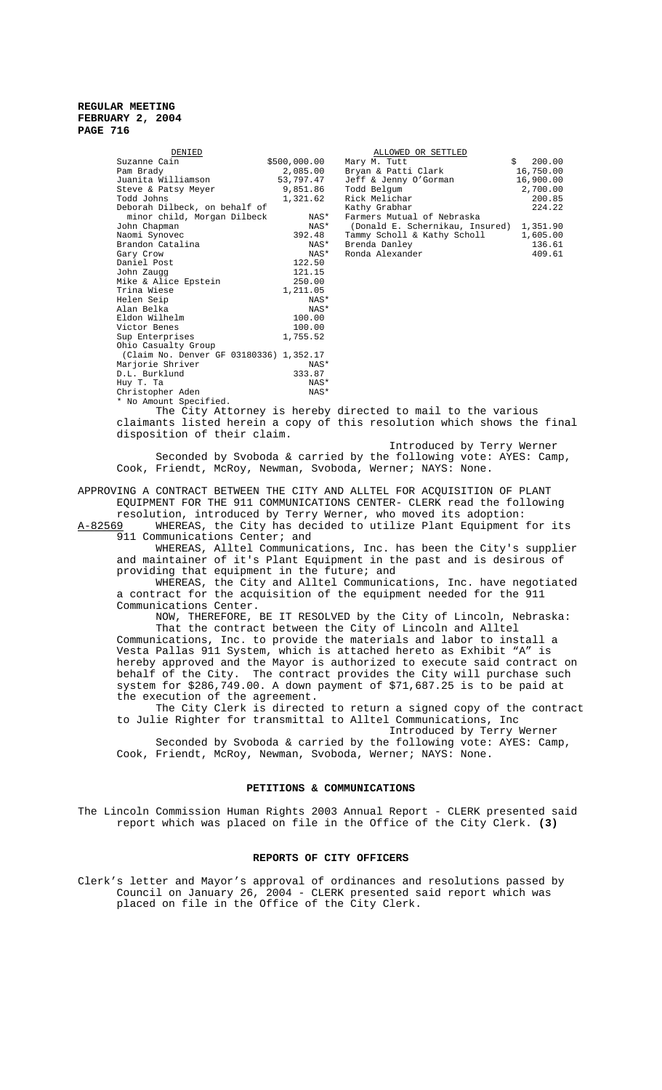| DENIED                                  |              | ALLOWED OR SETTLED              |              |
|-----------------------------------------|--------------|---------------------------------|--------------|
| Suzanne Cain                            | \$500,000.00 | Mary M. Tutt                    | 200.00<br>Ŝ. |
| Pam Brady                               | 2,085.00     | Bryan & Patti Clark             | 16,750.00    |
| Juanita Williamson                      | 53,797.47    | Jeff & Jenny O'Gorman           | 16,900.00    |
| Steve & Patsy Meyer                     | 9,851.86     | Todd Belgum                     | 2,700.00     |
| Todd Johns                              | 1,321.62     | Rick Melichar                   | 200.85       |
| Deborah Dilbeck, on behalf of           |              | Kathy Grabhar                   | 224.22       |
| minor child, Morgan Dilbeck             | NAS*         | Farmers Mutual of Nebraska      |              |
| John Chapman                            | NAS*         | (Donald E. Schernikau, Insured) | 1,351.90     |
| Naomi Synovec                           | 392.48       | Tammy Scholl & Kathy Scholl     | 1,605.00     |
| Brandon Catalina                        | NAS*         | Brenda Danley                   | 136.61       |
| Gary Crow                               | NAS*         | Ronda Alexander                 | 409.61       |
| Daniel Post                             | 122.50       |                                 |              |
| John Zaugg                              | 121.15       |                                 |              |
| Mike & Alice Epstein                    | 250.00       |                                 |              |
| Trina Wiese                             | 1,211.05     |                                 |              |
| Helen Seip                              | NAS*         |                                 |              |
| Alan Belka                              | NAS*         |                                 |              |
| Eldon Wilhelm                           | 100.00       |                                 |              |
| Victor Benes                            | 100.00       |                                 |              |
| Sup Enterprises                         | 1,755.52     |                                 |              |
| Ohio Casualty Group                     |              |                                 |              |
| (Claim No. Denver GF 03180336) 1,352.17 |              |                                 |              |
| Marjorie Shriver                        | NAS*         |                                 |              |
| D.L. Burklund                           | 333.87       |                                 |              |
| Huy T. Ta                               | NAS*         |                                 |              |
| Christopher Aden                        | NAS*         |                                 |              |
| * No Amount Specified.                  |              |                                 |              |

| DENIED                        |              | ALLOWED OR SETTLED              |           |
|-------------------------------|--------------|---------------------------------|-----------|
| Suzanne Cain                  | \$500,000.00 | Mary M. Tutt                    | 200.00    |
| Pam Brady                     | 2,085.00     | Bryan & Patti Clark             | 16,750.00 |
| Juanita Williamson            | 53,797.47    | Jeff & Jenny O'Gorman           | 16,900.00 |
| Steve & Patsy Meyer           | 9,851.86     | Todd Belgum                     | 2,700.00  |
| Todd Johns                    | 1,321.62     | Rick Melichar                   | 200.85    |
| Deborah Dilbeck, on behalf of |              | Kathy Grabhar                   | 224.22    |
| minor child, Morgan Dilbeck   | NAS*         | Farmers Mutual of Nebraska      |           |
| John Chapman                  | NAS*         | (Donald E. Schernikau, Insured) | 1,351.90  |
| Naomi Synovec                 | 392.48       | Tammy Scholl & Kathy Scholl     | 1,605.00  |
| Brandon Catalina              | NAS*         | Brenda Danley                   | 136.61    |
| Gary Crow                     | NAS*         | Ronda Alexander                 | 409.61    |

The City Attorney is hereby directed to mail to the various claimants listed herein a copy of this resolution which shows the final disposition of their claim.

Introduced by Terry Werner Seconded by Svoboda & carried by the following vote: AYES: Camp, Cook, Friendt, McRoy, Newman, Svoboda, Werner; NAYS: None.

APPROVING A CONTRACT BETWEEN THE CITY AND ALLTEL FOR ACQUISITION OF PLANT EQUIPMENT FOR THE 911 COMMUNICATIONS CENTER- CLERK read the following resolution, introduced by Terry Werner, who moved its adoption:<br> $A-82569$  WHEREAS, the City has decided to utilize Plant Equipment

WHEREAS, the City has decided to utilize Plant Equipment for its 911 Communications Center; and

WHEREAS, Alltel Communications, Inc. has been the City's supplier and maintainer of it's Plant Equipment in the past and is desirous of providing that equipment in the future; and

WHEREAS, the City and Alltel Communications, Inc. have negotiated a contract for the acquisition of the equipment needed for the 911 Communications Center.

NOW, THEREFORE, BE IT RESOLVED by the City of Lincoln, Nebraska: That the contract between the City of Lincoln and Alltel Communications, Inc. to provide the materials and labor to install a Vesta Pallas 911 System, which is attached hereto as Exhibit "A" is hereby approved and the Mayor is authorized to execute said contract on behalf of the City. The contract provides the City will purchase such system for \$286,749.00. A down payment of \$71,687.25 is to be paid at the execution of the agreement.

The City Clerk is directed to return a signed copy of the contract to Julie Righter for transmittal to Alltel Communications, Inc Introduced by Terry Werner

Seconded by Svoboda & carried by the following vote: AYES: Camp, Cook, Friendt, McRoy, Newman, Svoboda, Werner; NAYS: None.

## **PETITIONS & COMMUNICATIONS**

The Lincoln Commission Human Rights 2003 Annual Report - CLERK presented said report which was placed on file in the Office of the City Clerk. **(3)**

## **REPORTS OF CITY OFFICERS**

Clerk's letter and Mayor's approval of ordinances and resolutions passed by Council on January 26, 2004 - CLERK presented said report which was placed on file in the Office of the City Clerk.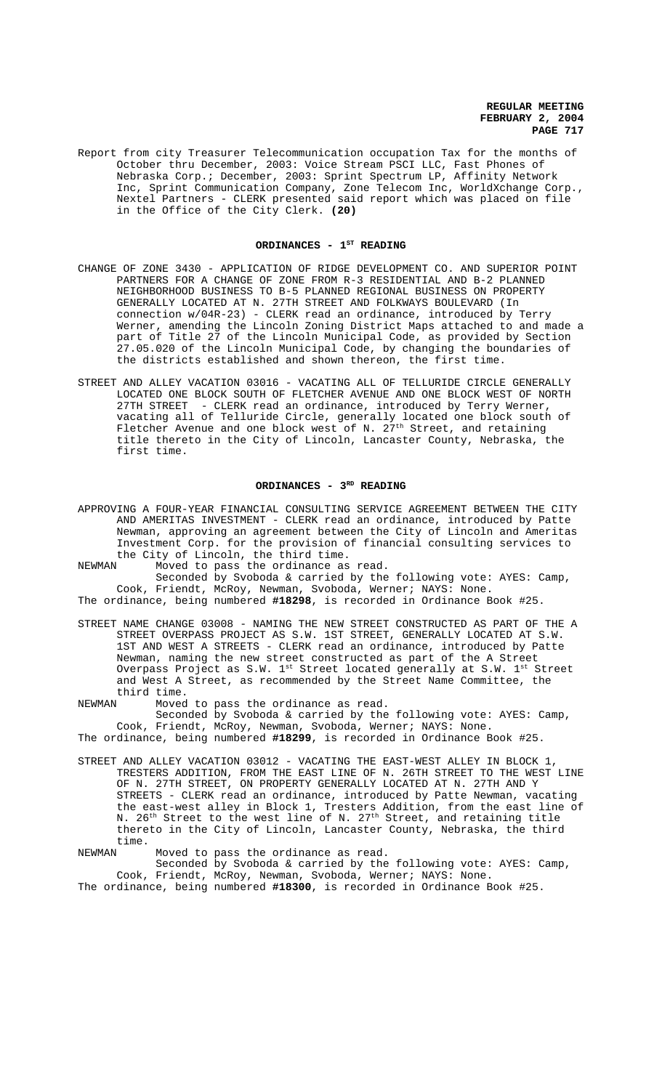Report from city Treasurer Telecommunication occupation Tax for the months of October thru December, 2003: Voice Stream PSCI LLC, Fast Phones of Nebraska Corp.; December, 2003: Sprint Spectrum LP, Affinity Network Inc, Sprint Communication Company, Zone Telecom Inc, WorldXchange Corp., Nextel Partners - CLERK presented said report which was placed on file in the Office of the City Clerk. **(20)**

## ORDINANCES - 1<sup>ST</sup> READING

- CHANGE OF ZONE 3430 APPLICATION OF RIDGE DEVELOPMENT CO. AND SUPERIOR POINT PARTNERS FOR A CHANGE OF ZONE FROM R-3 RESIDENTIAL AND B-2 PLANNED NEIGHBORHOOD BUSINESS TO B-5 PLANNED REGIONAL BUSINESS ON PROPERTY GENERALLY LOCATED AT N. 27TH STREET AND FOLKWAYS BOULEVARD (In connection w/04R-23) - CLERK read an ordinance, introduced by Terry Werner, amending the Lincoln Zoning District Maps attached to and made a part of Title 27 of the Lincoln Municipal Code, as provided by Section 27.05.020 of the Lincoln Municipal Code, by changing the boundaries of the districts established and shown thereon, the first time.
- STREET AND ALLEY VACATION 03016 VACATING ALL OF TELLURIDE CIRCLE GENERALLY LOCATED ONE BLOCK SOUTH OF FLETCHER AVENUE AND ONE BLOCK WEST OF NORTH 27TH STREET - CLERK read an ordinance, introduced by Terry Werner, vacating all of Telluride Circle, generally located one block south of Fletcher Avenue and one block west of N.  $27^{\rm th}$  Street, and retaining title thereto in the City of Lincoln, Lancaster County, Nebraska, the first time.

#### ORDINANCES - 3<sup>RD</sup> READING

APPROVING A FOUR-YEAR FINANCIAL CONSULTING SERVICE AGREEMENT BETWEEN THE CITY AND AMERITAS INVESTMENT - CLERK read an ordinance, introduced by Patte Newman, approving an agreement between the City of Lincoln and Ameritas Investment Corp. for the provision of financial consulting services to the City of Lincoln, the third time.<br>NEWMAN Moved to pass the ordinance as

Moved to pass the ordinance as read.

Seconded by Svoboda & carried by the following vote: AYES: Camp, Cook, Friendt, McRoy, Newman, Svoboda, Werner; NAYS: None.

The ordinance, being numbered **#18298**, is recorded in Ordinance Book #25.

STREET NAME CHANGE 03008 - NAMING THE NEW STREET CONSTRUCTED AS PART OF THE A STREET OVERPASS PROJECT AS S.W. 1ST STREET, GENERALLY LOCATED AT S.W. 1ST AND WEST A STREETS - CLERK read an ordinance, introduced by Patte Newman, naming the new street constructed as part of the A Street Overpass Project as S.W.  $1^{st}$  Street located generally at S.W.  $1^{st}$  Street and West A Street, as recommended by the Street Name Committee, the third time.

NEWMAN Moved to pass the ordinance as read. Seconded by Svoboda & carried by the following vote: AYES: Camp, Cook, Friendt, McRoy, Newman, Svoboda, Werner; NAYS: None. The ordinance, being numbered **#18299**, is recorded in Ordinance Book #25.

STREET AND ALLEY VACATION 03012 - VACATING THE EAST-WEST ALLEY IN BLOCK 1, TRESTERS ADDITION, FROM THE EAST LINE OF N. 26TH STREET TO THE WEST LINE OF N. 27TH STREET, ON PROPERTY GENERALLY LOCATED AT N. 27TH AND Y STREETS - CLERK read an ordinance, introduced by Patte Newman, vacating the east-west alley in Block 1, Tresters Addition, from the east line of N. 26<sup>th</sup> Street to the west line of N. 27<sup>th</sup> Street, and retaining title thereto in the City of Lincoln, Lancaster County, Nebraska, the third time.

NEWMAN Moved to pass the ordinance as read.

Seconded by Svoboda & carried by the following vote: AYES: Camp, Cook, Friendt, McRoy, Newman, Svoboda, Werner; NAYS: None. The ordinance, being numbered **#18300**, is recorded in Ordinance Book #25.